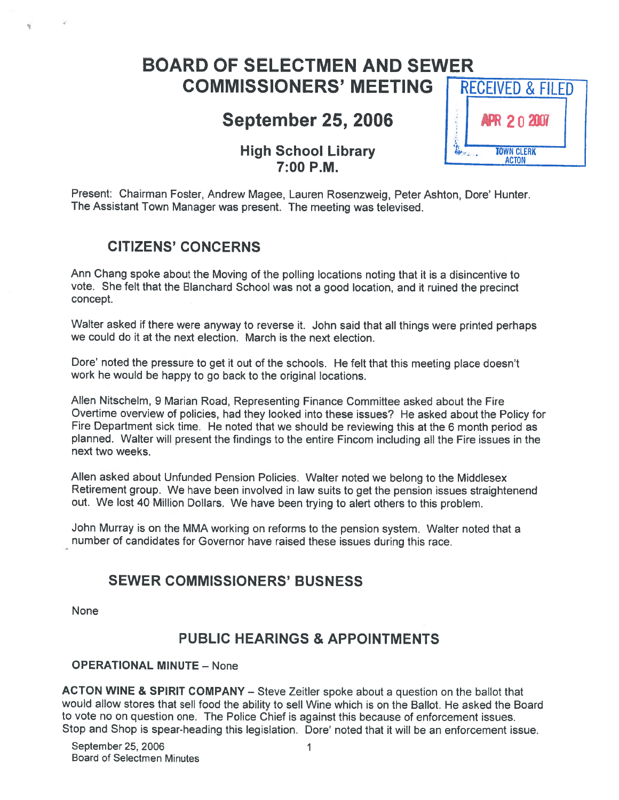# BOARD OF SELECTMEN AND SEWER COMMISSIONERS' MEETING RECEIVED & FILED

# September 25, 2006 **R** 20 2007

# High School Library **100 Internal Property** TOWN CLERK 7:00 P.M.

Present: Chairman Foster, Andrew Magee, Lauren Rosenzweig, Peter Ashton, Dore' Hunter. The Assistant Town Manager was present. The meeting was televised.

# CITIZENS' CONCERNS

Ann Chang spoke about the Moving of the polling locations noting that it is <sup>a</sup> disincentive to vote. She felt that the Blanchard School was not <sup>a</sup> goo<sup>d</sup> location, and it ruined the precinct concept.

Walter asked if there were anyway to reverse it. John said that all things were printed perhaps we could do it at the next election. March is the next election.

Dore' noted the pressure to ge<sup>t</sup> it out of the schools. He felt that this meeting <sup>p</sup>lace doesn't work he would be happy to go back to the original locations.

Allen Nitschelm, <sup>9</sup> Marian Road, Representing Finance Committee asked about the Fire Overtime overview of policies, had they looked into these issues? He asked about the Policy for Fire Department sick time. He noted that we should be reviewing this at the <sup>6</sup> month period as <sup>p</sup>lanned. Walter will presen<sup>t</sup> the findings to the entire Fincom including all the Fire issues in the next two weeks.

Allen asked about Unfunded Pension Policies. Walter noted we belong to the Middlesex Retirement group. We have been involved in law suits to ge<sup>t</sup> the pension issues straightenend out. We lost <sup>40</sup> Million Dollars. We have been trying to alert others to this problem.

John Murray is on the MMA working on reforms to the pension system. Walter noted that <sup>a</sup> number of candidates for Governor have raised these issues during this race.

# SEWER COMMISSIONERS' BUSNESS

None

# PUBLIC HEARINGS & APPOINTMENTS

#### OPERATIONAL MINUTE — None

ACTON WINE & SPIRIT COMPANY — Steve Zeitler spoke about <sup>a</sup> question on the ballot that would allow stores that sell food the ability to sell Wine which is on the Ballot. He asked the Board to vote no on question one. The Police Chief is against this because of enforcement issues. Stop and Shop is spear-heading this legislation. Dore' noted that it will be an enforcement issue.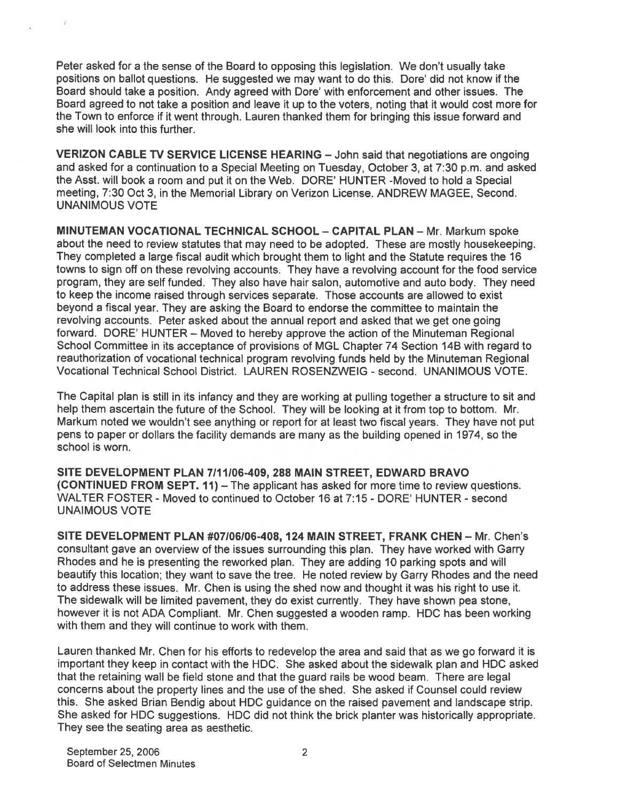Peter asked for <sup>a</sup> the sense of the Board to opposing this legislation. We don't usually take positions on ballot questions. He suggested we may want to do this. Dore' did not know if the Board should take <sup>a</sup> position. Andy agreed with Dote' with enforcement and other issues. The Board agreed to not take <sup>a</sup> position and leave it up to the voters, noting that it would cost more for the Town to enforce if it went through. Lauren thanked them for bringing this issue forward and she will look into this further.

VERIZON CABLE TV SERVICE LICENSE HEARING — John said that negotiations are ongoing and asked for <sup>a</sup> continuation to <sup>a</sup> Special Meeting on Tuesday, October 3, at 7:30 p.m. and asked the Asst. will book <sup>a</sup> room and pu<sup>t</sup> it on the Web. DORE' HUNTER -Moved to hold <sup>a</sup> Special meeting, 7:30 Oct 3, in the Memorial Library on Verizon License. ANDREW MAGEE, Second. UNANIMOUS VOTE

MINUTEMAN VOCATIONAL TECHNICAL SCHOOL - CAPITAL PLAN - Mr. Markum spoke about the need to review statutes that may need to be adopted. These are mostly housekeeping. They completed <sup>a</sup> large fiscal audit which brought them to light and the Statute requires the <sup>16</sup> towns to sign off on these revolving accounts. They have <sup>a</sup> revolving account for the food service program, they are self funded. They also have hair salon, automotive and auto body. They need to keep the income raised through services separate. Those accounts are allowed to exist beyond <sup>a</sup> fiscal year. They are asking the Board to endorse the committee to maintain the revolving accounts. Peter asked about the annual repor<sup>t</sup> and asked that we ge<sup>t</sup> one going forward. DORE' HUNTER – Moved to hereby approve the action of the Minuteman Regional School Committee in its acceptance of provisions of MGL Chapter 74 Section 14B with regard to reauthorization of vocational technical program revolving funds held by the Minuteman Regional Vocational Technical School District. LAUREN ROSENZWEIG -second. UNANIMOUS VOTE.

The Capital plan is still in its infancy and they are working at pulling together <sup>a</sup> structure to sit and help them ascertain the future of the School. They will be looking at it from top to bottom. Mr. Markum noted we wouldn't see anything or repor<sup>t</sup> for at least two fiscal years. They have not pu<sup>t</sup> pens to paper or dollars the facility demands are many as the building opened in 1974, so the school is worn.

SITE DEVELOPMENT PLAN 7111106-409, 288 MAIN STREET, EDWARD BRAVO (CONTINUED FROM SEPT. 11) — The applicant has asked for more time to review questions. WALTER FOSTER - Moved to continued to October 16 at 7:15 - DORE' HUNTER -second UNAIMOUS VOTE

SITE DEVELOPMENT PLAN #07I06I06-40\$, 124 MAIN STREET, FRANK CHEN — Mr. Chen's consultant gave an overview of the issues surrounding this plan. They have worked with Garry Rhodes and he is presenting the reworked plan. They are adding 10 parking spots and will beautify this location; they want to save the tree. He noted review by Garry Rhodes and the need to address these issues. Mr. Chen is using the shed now and thought it was his right to use it. The sidewalk will be limited pavement, they do exist currently. They have shown pea stone, however it is not ADA Compliant. Mr. Chen suggested <sup>a</sup> wooden ramp. HDC has been working with them and they will continue to work with them.

Lauren thanked Mr. Chen for his efforts to redevelop the area and said that as we go forward it is important they keep in contact with the HDC. She asked about the sidewalk plan and HDC asked that the retaining wall be field stone and that the guard rails be wood beam. There are legal concerns about the property lines and the use of the shed. She asked if Counsel could review this. She asked Brian Bendig about HDC guidance on the raised pavemen<sup>t</sup> and landscape strip. She asked for HDC suggestions. HDC did not think the brick planter was historically appropriate. They see the seating area as aesthetic.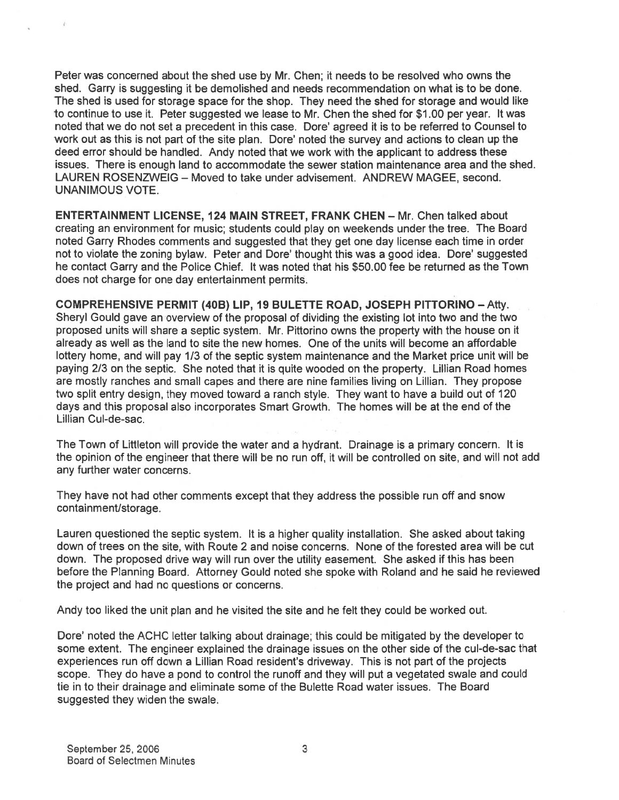Peter was concerned about the shed use by Mr. Chen; it needs to be resolved who owns the shed. Garry is suggesting it be demolished and needs recommendation on what is to be done. The shed is used for storage space for the shop. They need the shed for storage and would like to continue to use it. Peter suggested we lease to Mr. Chen the shed for \$1.00 per year. It was noted that we do not set <sup>a</sup> precedent in this case. Dore' agreed it is to be referred to Counsel to work out as this is not par<sup>t</sup> of the site plan. Dore' noted the survey and actions to clean up the deed error should be handled. Andy noted that we work with the applicant to address these issues. There is enough land to accommodate the sewer station maintenance area and the shed. LAUREN ROSENZWEIG — Moved to take under advisement. ANDREW MAGEE, second. UNANIMOUS VOTE.

ENTERTAINMENT LICENSE, 124 MAIN STREET, FRANK CHEN — Mr. Chen talked about creating an environment for music; students could play on weekends under the tree. The Board noted Garry Rhodes comments and suggested that they ge<sup>t</sup> one day license each time in order not to violate the zoning bylaw. Peter and Dore' thought this was <sup>a</sup> good idea. Dore' suggested he contact Garry and the Police Chief. It was noted that his \$50.00 fee be returned as the Town does not charge for one day entertainment permits.

COMPREHENSIVE PERMIT (40B) LIP, 19 BULETTE ROAD, JOSEPH PITTORINO —Affy. Sheryl Gould gave an overview of the proposal of dividing the existing lot into two and the two proposed units will share <sup>a</sup> septic system. Mr. Pittorino owns the property with the house on it already as well as the land to site the new homes. One of the units will become an affordable lottery home, and will pay 1/3 of the septic system maintenance and the Market price unit will be paying 2/3 on the septic. She noted that it is quite wooded on the property. Lillian Road homes are mostly ranches and small capes and there are nine families living on Lillian. They propose two split entry design, they moved toward <sup>a</sup> ranch style. They want to have <sup>a</sup> build out of 120 days and this proposal also incorporates Smart Growth. The homes will be at the end of the Lillian Cul-de-sac.

The Town of Littleton will provide the water and <sup>a</sup> hydrant. Drainage is <sup>a</sup> primary concern. It is the opinion of the engineer that there will be no run off, it will be controlled on site, and will not add any further water concerns.

They have not had other comments excep<sup>t</sup> that they address the possible run off and snow containment/storage.

Lauren questioned the septic system. It is <sup>a</sup> higher quality installation. She asked about taking down of trees on the site, with Route 2 and noise concerns. None of the forested area will be cut down. The proposed drive way will run over the utility easement. She asked if this has been before the Planning Board. Attorney Gould noted she spoke with Roland and he said he reviewed the project and had no questions or concerns.

Andy too liked the unit plan and he visited the site and he felt they could be worked out.

Dore' noted the ACHC letter talking about drainage; this could be mitigated by the developer to some extent. The engineer explained the drainage issues on the other side of the cul-de-sac that experiences run off down <sup>a</sup> Lillian Road resident's driveway. This is not par<sup>t</sup> of the projects scope. They do have <sup>a</sup> pond to control the runoff and they will pu<sup>t</sup> <sup>a</sup> vegetated swale and could tie in to their drainage and eliminate some of the Bulette Road water issues. The Board suggested they widen the swale.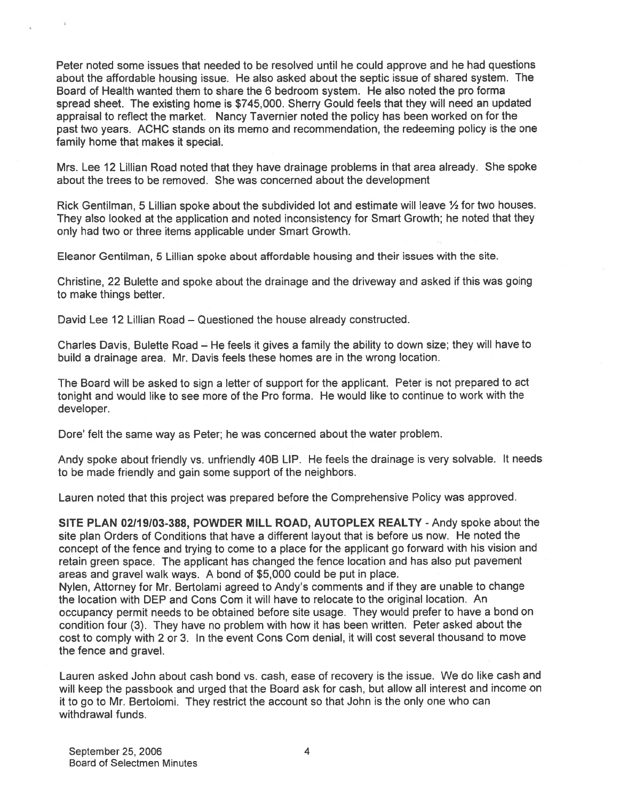Peter noted some issues that needed to be resolved until he could approve and he had questions about the affordable housing issue. He also asked about the septic issue of shared system. The Board of Health wanted them to share the 6 bedroom system. He also noted the pro forma spread sheet. The existing home is \$745,000. Sherry Gould feels that they will need an updated appraisal to reflect the market. Nancy Tavernier noted the policy has been worked on for the pas<sup>t</sup> two years. ACHC stands on its memo and recommendation, the redeeming policy is the one family home that makes it special.

Mrs. Lee <sup>12</sup> Lillian Road noted that they have drainage problems in that area already. She spoke about the trees to be removed. She was concerned about the development

Rick Gentilman, 5 Lillian spoke about the subdivided lot and estimate will leave  $\frac{1}{2}$  for two houses. They also looked at the application and noted inconsistency for Smart Growth; he noted that they only had two or three items applicable under Smart Growth.

Eleanor Gentilman, 5 Lillian spoke about affordable housing and their issues with the site.

Christine, 22 Bulette and spoke about the drainage and the driveway and asked if this was going to make things better.

David Lee 12 Lillian Road — Questioned the house already constructed.

Charles Davis, Bulette Road — He feels it gives <sup>a</sup> family the ability to down size; they will have to build <sup>a</sup> drainage area. Mr. Davis feels these homes are in the wrong location.

The Board will be asked to sign <sup>a</sup> letter of suppor<sup>t</sup> for the applicant. Peter is not prepared to act tonight and would like to see more of the Pro forma. He would like to continue to work with the developer.

Dore' felt the same way as Peter; he was concerned about the water problem.

Andy spoke about friendly vs. unfriendly 40B LIP. He feels the drainage is very solvable. It needs to be made friendly and gain some suppor<sup>t</sup> of the neighbors.

Lauren noted that this project was prepared before the Comprehensive Policy was approved.

SITE PLAN 02/19/03-388, POWDER MILL ROAD, AUTOPLEX REALTY - Andy spoke about the site plan Orders of Conditions that have <sup>a</sup> different layout that is before us now. He noted the concep<sup>t</sup> of the fence and trying to come to <sup>a</sup> <sup>p</sup>lace for the applicant go forward with his vision and retain green space. The applicant has changed the fence location and has also pu<sup>t</sup> pavemen<sup>t</sup> areas and gravel walk ways. A bond of \$5,000 could be pu<sup>t</sup> in place.

Nylen, Attorney for Mr. Bertolami agreed to Andy's comments and if they are unable to change the location with DEP and Cons Com it will have to relocate to the original location. An occupancy permit needs to be obtained before site usage. They would prefer to have <sup>a</sup> bond on condition four (3). They have no problem with how it has been written. Peter asked about the cost to comply with 2 or 3. In the event Cons Com denial, it will cost several thousand to move the fence and gravel.

Lauren asked John about cash bond vs. cash, ease of recovery is the issue. We do like cash and will keep the passbook and urge<sup>d</sup> that the Board ask for cash, but allow all interest and income on it to go to Mr. Bertolomi. They restrict the account so that John is the only one who can withdrawal funds.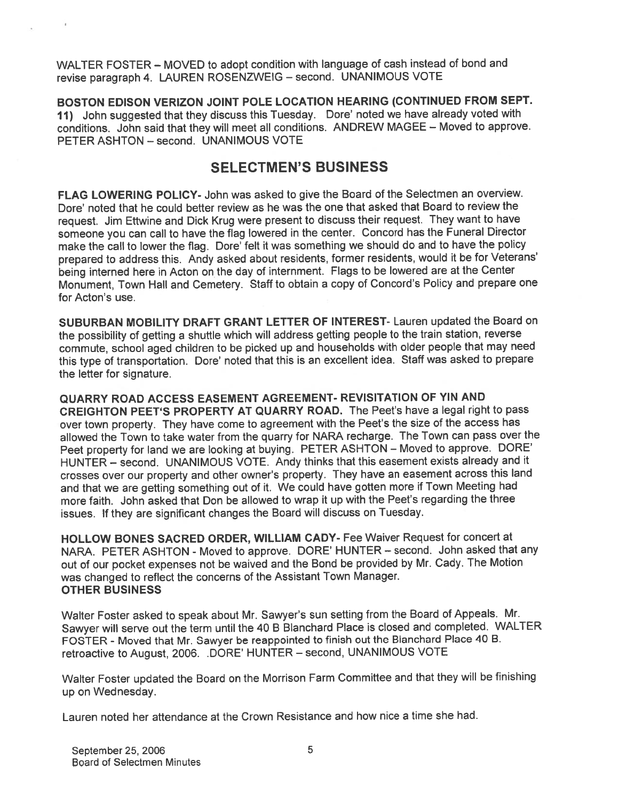WALTER FOSTER — MOVED to adopt condition with language of cash instead of bond and revise paragrap<sup>h</sup> 4. LAUREN ROSENZWEIG — second. UNANIMOUS VOTE

BOSTON EDISON VERIZON JOINT POLE LOCATION HEARING (CONTINUED FROM SEPT. 11) John suggested that they discuss this Tuesday. Dore' noted we have already voted with conditions. John said that they will meet all conditions. ANDREW MAGEE — Moved to approve. PETER ASHTON — second. UNANIMOUS VOTE

## SELECTMEN'S BUSINESS

FLAG LOWERING POLICY- John was asked to <sup>g</sup>ive the Board of the Selectmen an overview. Dore' noted that he could better review as he was the one that asked that Board to review the request. Jim Effwine and Dick Krug were presen<sup>t</sup> to discuss their request. They want to have someone you can call to have the flag lowered in the center. Concord has the Funeral Director make the call to lower the flag. Dore' felt it was something we should do and to have the policy prepare<sup>d</sup> to address this. Andy asked about residents, former residents, would it be for Veterans' being interned here in Acton on the day of internment. Flags to be lowered are at the Center Monument, Town Hall and Cemetery. Staff to obtain <sup>a</sup> copy of Concord's Policy and prepare one for Acton's use.

SUBURBAN MOBILITY DRAFT GRANT LETTER OF INTEREST- Lauren updated the Board on the possibility of getting <sup>a</sup> shuttle which will address getting people to the train station, reverse commute, school age<sup>d</sup> children to be <sup>p</sup>icked up and households with older people that may need this type of transportation. Dore' noted that this is an excellent idea. Staff was asked to prepare the letter for signature.

QUARRY ROAD ACCESS EASEMENT AGREEMENT- REVISITATION OF YIN AND CREIGHTON PEET'S PROPERTY AT QUARRY ROAD. The Peet's have <sup>a</sup> legal right to pass over town property. They have come to agreemen<sup>t</sup> with the Peet's the size of the access has allowed the Town to take water from the quarry for NARA recharge. The Town can pass over the Peet property for land we are looking at buying. PETER ASHTON — Moved to approve. DORE' HUNTER — second. UNANIMOUS VOTE. Andy thinks that this easement exists already and it crosses over our property and other owner's property. They have an easement across this land and that we are getting something out of it. We could have gotten more if Town Meeting had more faith. John asked that Don be allowed to wrap it up with the Peet's regarding the three issues. If they are significant changes the Board will discuss on Tuesday.

HOLLOW BONES SACRED ORDER, WILLIAM CADY- Fee Waiver Request for concert at NARA. PETER ASHTON - Moved to approve. DORE' HUNTER — second. John asked that any out of our pocket expenses not be waived and the Bond be provided by Mr. Cady. The Motion was changed to reflect the concerns of the Assistant Town Manager. OTHER BUSINESS

Walter Foster asked to spea<sup>k</sup> about Mr. Sawyer's sun setting from the Board of Appeals. Mr. Sawyer will serve out the term until the <sup>40</sup> <sup>B</sup> Blanchard Place is closed and completed. WALTER FOSTER - Moved that Mr. Sawyer be reappointed to finish out the Blanchard Place <sup>40</sup> B. retroactive to August, 2006. .DORE' HUNTER — second, UNANIMOUS VOTE

Walter Foster updated the Board on the Morrison Farm Committee and that they will be finishing up on Wednesday.

Lauren noted her attendance at the Crown Resistance and how nice <sup>a</sup> time she had.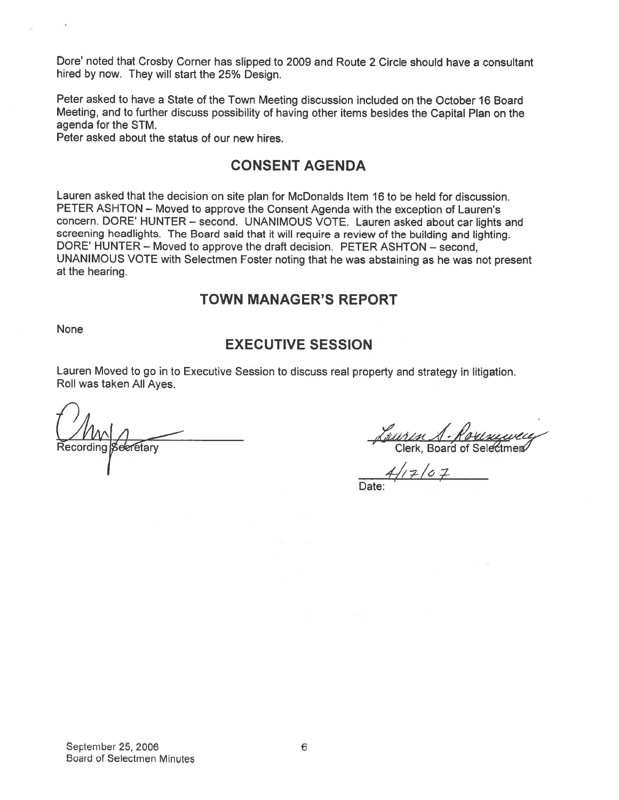Dore' noted that Crosby Corner has slipped to 2009 and Route <sup>2</sup> Circle should have <sup>a</sup> consultant hired by now. They will start the 25% Design.

Peter asked to have <sup>a</sup> State of the Town Meeting discussion included on the October 16 Board Meeting, and to further discuss possibility of having other items besides the Capital Plan on the agenda for the STM.

Peter asked about the status of our new hires.

## CONSENT AGENDA

Lauren asked that the decision on site <sup>p</sup>lan for McDonalds Item 16 to be held for discussion. PETER ASHTON — Moved to approve the Consent Agenda with the exception of Lauren's concern. DORE' HUNTER — second. UNANIMOUS VOTE. Lauren asked about car lights and screening headlights. The Board said that it will require <sup>a</sup> review of the building and lighting. DORE' HUNTER — Moved to approve the draft decision. PETER ASHTON — second, UNANIMOUS VOTE with Selectmen Foster noting that he was abstaining as he was not presen<sup>t</sup> at the hearing.

### TOWN MANAGER'S REPORT

None

### EXECUTIVE SESSION

Lauren Moved to go in to Executive Session to discuss real property and strategy in litigation. Roll was taken All Ayes.

<u>NMM</u><br>Recording Secretary Clerk, Board of Selectmen

 $4/17/07$ Date: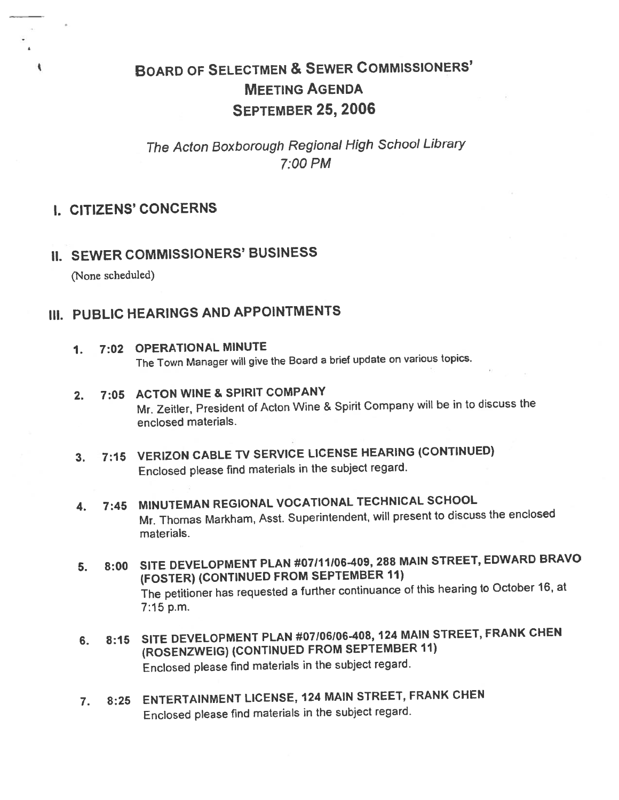# BOARD OF SELECTMEN & SEWER CoMMISsIoNERS' MEETING AGENDA SEPTEMBER 25, 2006

# The Acton Boxborough Regional High School Library 7:00 PM

### I. CITIZENS' CONCERNS

# II. SEWER COMMISSIONERS' BUSINESS

(None scheduled)

# III. PUBLIC HEARINGS AND APPOINTMENTS

1. 7:02 OPERATIONAL MINUTE

The Town Manager will <sup>g</sup>ive the Board <sup>a</sup> brief update on various topics.

- 2. 7:05 ACTON WINE & SPIRIT COMPANY Mr. Zeitler, President of Acton Wine & Spirit Company will be in to discuss the enclosed materials.
- 3. 7:15 VERIZON CABLE TV SERVICE LICENSE HEARING (CONTINUED) Enclosed <sup>p</sup>lease find materials in the subject regard.
- 4. 7:45 MINUTEMAN REGIONAL VOCATIONAL TECHNICAL SCHOOL Mr. Thomas Markham, Asst. Superintendent, will presen<sup>t</sup> to discuss the enclosed materials.
- 5. 8:00 SITE DEVELOPMENT PLAN #07111106-409, <sup>288</sup> MAIN STREET, EDWARD BRAVO (FOSTER) (CONTINUED FROM SEPTEMBER II) The petitioner has requested <sup>a</sup> further continuance of this hearing to October 16, at 7:15 p.m.
- 6. 8:15 SITE DEVELOPMENT PLAN #07106106-408, <sup>124</sup> MAIN STREET, FRANK CHEN fROSENZWEIG) (CONTINUED FROM SEPTEMBER 11) Enclosed <sup>p</sup>lease find materials in the subject regard.
- 7. 8:25 ENTERTAINMENT LICENSE, <sup>124</sup> MAIN STREET, FRANK CHEN Enclosed <sup>p</sup>lease find materials in the subject regard.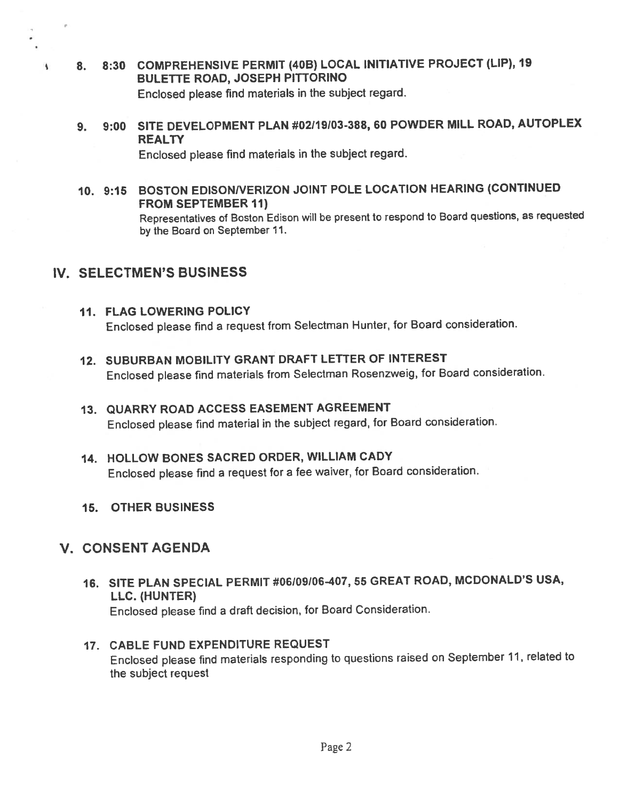- 8. 8:30 COMPREHENSIVE PERMIT (40B) LOCAL INITIATIVE PROJECT (LIP), <sup>19</sup> BULETTE ROAD, JOSEPH PITTORINO Enclosed <sup>p</sup>lease find materials in the subject regard.
- 9. 9:00 SITE DEVELOPMENT PLAN #02119103-388, <sup>60</sup> POWDER MILL ROAD, AUTOPLEX **REALTY**

Enclosed <sup>p</sup>lease find materials in the subject regard.

10. 9:15 BOSTON EDISONNERIZON JOINT POLE LOCATION HEARING (CONTINUED FROM SEPTEMBER 11)

Representatives of Boston Edison will be presen<sup>t</sup> to respon<sup>d</sup> to Board questions, as requested by the Board on September 11.

## IV. SELECTMEN'S BUSINESS

 $\overline{\mathbf{A}}$ 

- 11. FLAG LOWERING POLICY Enclosed <sup>p</sup>lease find <sup>a</sup> reques<sup>t</sup> from Selectman Hunter, for Board consideration.
- 12. SUBURBAN MOBILITY GRANT DRAFT LETTER OF INTEREST Enclosed <sup>p</sup>lease find materials from Selectman Rosenzweig, for Board consideration.
- 13. QUARRY ROAD ACCESS EASEMENT AGREEMENT Enclosed <sup>p</sup>lease find material in the subject regard, for Board consideration.
- 14. HOLLOW BONES SACRED ORDER, WILLIAM CADY Enclosed <sup>p</sup>lease find <sup>a</sup> reques<sup>t</sup> for <sup>a</sup> fee waiver, for Board consideration.
- 15. OTHER BUSINESS

# V. CONSENT AGENDA

- 16. SITE PLAN SPECIAL PERMIT #06109106407, <sup>55</sup> GREAT ROAD, MCDONALD'S USA, LLC. (HUNTER) Enclosed <sup>p</sup>lease find <sup>a</sup> draft decision, for Board Consideration.
- 17. CABLE FUND EXPENDITURE REQUEST Enclosed <sup>p</sup>lease find materials responding to questions raised on September11, related to the subject reques<sup>t</sup>